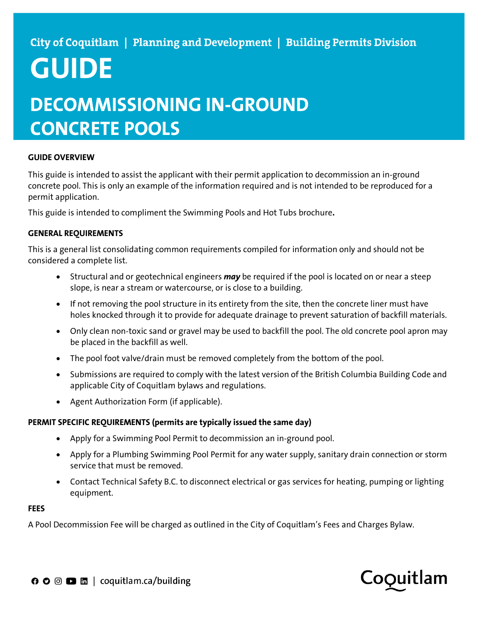# **GUIDE DECOMMISSIONING IN-GROUND CONCRETE POOLS**

## **GUIDE OVERVIEW**

This guide is intended to assist the applicant with their permit application to decommission an in-ground concrete pool. This is only an example of the information required and is not intended to be reproduced for a permit application.

This guide is intended to compliment the Swimming Pools and Hot Tubs brochure**.**

### **GENERAL REQUIREMENTS**

This is a general list consolidating common requirements compiled for information only and should not be considered a complete list.

- Structural and or geotechnical engineers *may* be required if the pool is located on or near a steep slope, is near a stream or watercourse, or is close to a building.
- If not removing the pool structure in its entirety from the site, then the concrete liner must have holes knocked through it to provide for adequate drainage to prevent saturation of backfill materials.
- Only clean non-toxic sand or gravel may be used to backfill the pool. The old concrete pool apron may be placed in the backfill as well.
- The pool foot valve/drain must be removed completely from the bottom of the pool.
- Submissions are required to comply with the latest version of the British Columbia Building Code and applicable City of Coquitlam bylaws and regulations.
- Agent Authorization Form (if applicable).

### **PERMIT SPECIFIC REQUIREMENTS (permits are typically issued the same day)**

- Apply for a Swimming Pool Permit to decommission an in-ground pool.
- Apply for a Plumbing Swimming Pool Permit for any water supply, sanitary drain connection or storm service that must be removed.
- Contact Technical Safety B.C. to disconnect electrical or gas services for heating, pumping or lighting equipment.

#### **FEES**

A Pool Decommission Fee will be charged as outlined in the City of Coquitlam's Fees and Charges Bylaw.